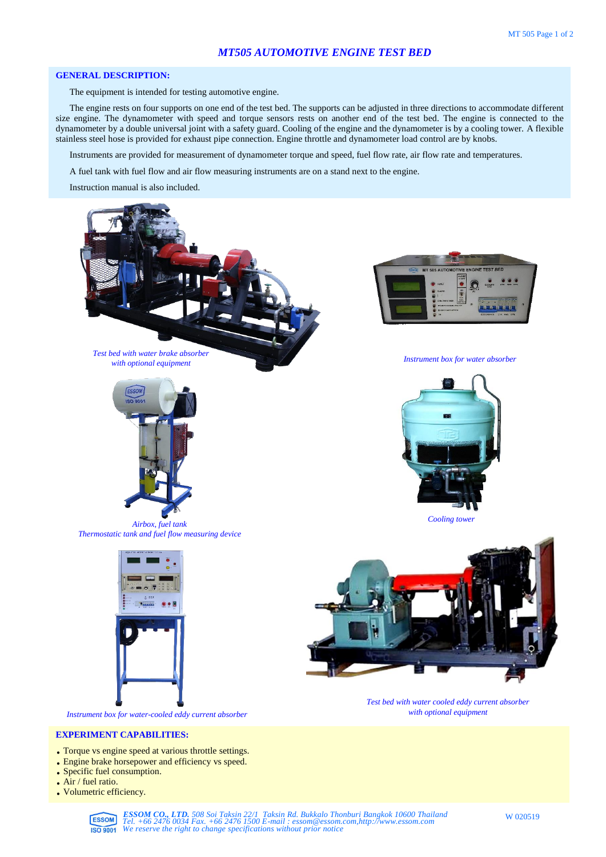## **GENERAL DESCRIPTION:**

The equipment is intended for testing automotive engine.

The engine rests on four supports on one end of the test bed. The supports can be adjusted in three directions to accommodate different size engine. The dynamometer with speed and torque sensors rests on another end of the test bed. The engine is connected to the dynamometer by a double universal joint with a safety guard. Cooling of the engine and the dynamometer is by a cooling tower. A flexible stainless steel hose is provided for exhaust pipe connection. Engine throttle and dynamometer load control are by knobs.

Instruments are provided for measurement of dynamometer torque and speed, fuel flow rate, air flow rate and temperatures.

A fuel tank with fuel flow and air flow measuring instruments are on a stand next to the engine.

Instruction manual is also included.



- **EXPERIMENT CAPABILITIES:**
- . Torque vs engine speed at various throttle settings.
- . Engine brake horsepower and efficiency vs speed.
- . Specific fuel consumption.
- . Air / fuel ratio.
- . Volumetric efficiency.

**ESSOM CO., LTD.** 508 Soi Taksin 22/1 Taksin Rd. Bukkalo Thonburi Bangkok 10600 Thailand<br>Tel. +66 2476 0034 Fax. +66 2476 1500 E-mail : essom@essom.com,http://www.essom.com<br>**ISO 9001** We reserve the right to change specifi

W 020519